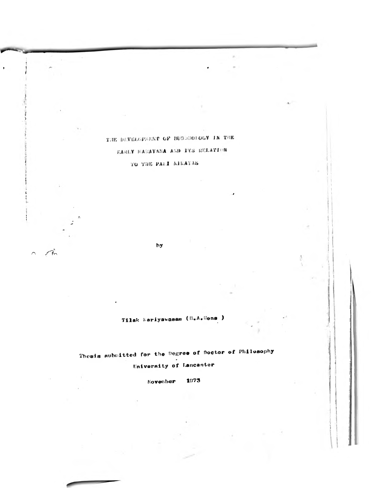## THE DEVELOPMENT OF BUSINOLOGY IN THE

 $\bullet$ 

 $\sim$ 

## EARLY MAGAYANA AND ITS RELATION

### TO THE PALI NIKAYAS

hy

 $\mathcal{L}$ 

 $\overline{\bigcap}$ 

Tilak Nariyawasam (B.A.Wons.)

Thesis aubuitted for the Degree of Doctor of Philosophy **University of Lancaster** 

> 1973 November

 $\overline{\phantom{a}}$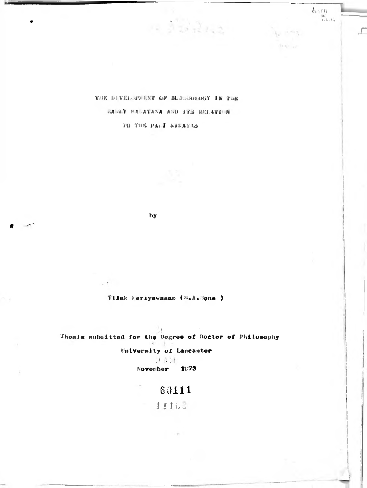THE DIVERSPORT OF BUDDEDLOGY IN THE SARLY MARAYANA AND ITS RELATION TO THE PALI NIEATAS

 $12.3322$ 

 $\lim\limits_{\substack{\leftarrow \\ i < \delta, \leftarrow t_n}}$ 

 $\mathcal{L}$ 

hy

Tilak kariyawasan (B.A.Mons )

身: Thesis mubmitted for the Degree of Doctor of Philosophy

University of Lancaster

大本社 November 1973

# $60111$

11163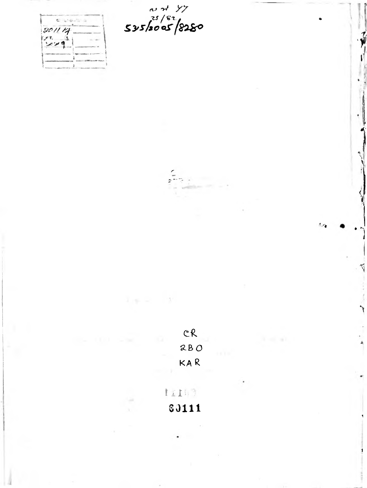



 $-3$ 

 $0.1111$ 60111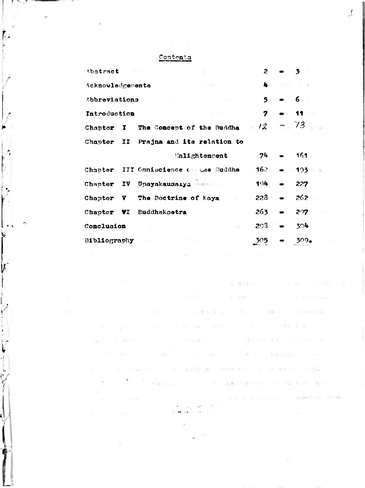#### Contents

| Abstract         |  |                                       | $\mathbf{2}$     | - 3 |         |  |
|------------------|--|---------------------------------------|------------------|-----|---------|--|
| Acknowledgements |  |                                       | 4                |     |         |  |
| Abbreviations    |  |                                       | $5 -$            |     | 6       |  |
| Introduction     |  |                                       | 7                |     | 11      |  |
| Chapter I        |  | The Concept of the Buddha             | $12^{-}$         |     | 73      |  |
|                  |  | Chapter II Prajna and its relation to |                  |     |         |  |
|                  |  | <b>Enlightenment</b>                  | 74               |     | 161     |  |
|                  |  | Chapter III Cmniscience Colae Buddha  | 162 <sub>1</sub> |     | 103     |  |
|                  |  | Chapter IV Upayakausaiya              | 194              |     | 227     |  |
| Chapter V        |  | The Doctrine of Kaya                  | 228              |     | 262     |  |
| Chapter VI       |  | <b>Euddhakoetra</b>                   | 263              |     | 297     |  |
| Conclusion       |  |                                       | $293 -$          |     | 304     |  |
| Bibliography     |  |                                       | 305              |     | $309 -$ |  |

the contract of the contract of the contract of the con-

The process of the Chinese Committee of the committee

Policy of the Contract Contract of the Contract of

 $\alpha$  , and  $\alpha$  , and  $\alpha$  , and  $\alpha$  , and  $\alpha$  , and  $\alpha$  , and  $\alpha$  , and  $\alpha$ 

the control product sites. The control during a

 $\label{eq:3.1} \alpha\qquad \text{if if } \alpha\in\mathbb{R}^n, \quad \alpha\in\mathbb{R}^n, \quad \alpha\in\mathbb{R}^n, \quad \alpha\in\mathbb{R}^n, \quad \alpha\in\mathbb{R}^n, \quad \alpha\in\mathbb{R}^n, \quad \alpha\in\mathbb{R}^n.$ 

says and the burns are areas and are constituted in the additional and

and the company

THE TELEVISION CONTINUES INTO A REPORT OF A REPORT OF A STATE OF A REPORT OF A STATE OF A REPORT OF A REPORT OF A REPORT OF A REPORT OF A REPORT OF A REPORT OF A REPORT OF A REPORT OF A REPORT OF A REPORT OF A REPORT OF A

2.474ml (m) lowl (m) and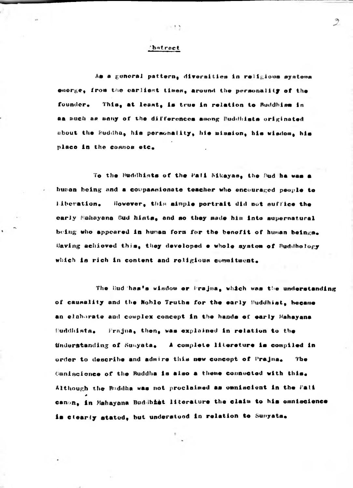#### **Thatract**

 $-1.5$ 

As a general pattern, diversities in religious systems emerge, from the carliest times, around the personality of the founder. This, at least, is true in relation to Buddhism in as much as many of the differences among Buddhists originated about the Euddha, his personality, his mission, his wisdom, his place in the cosmos etc.

To the Buddhists of the Pali Nikayas, the Bud ha was a buman being and a compassionate teacher who encouraged people to Liberation. However, this aimple portrait did not suffice the carly Mahayana Bud hists, and so they made him into supernatural being who appeared in human form for the benefit of human beings. Having achieved this. they developed e whole system of Buddhology which is rich in content and roligious commitment.

The Bud has's wisdow or Prajna, which was the understanding of causality and the Noblo Truths for the early Buddhist, became an elaborate and complex concept in the hands of early Mahayana Buddhists. Frajna, then, was explained in relation to the Understanding of Sunyata. A complete literature is compiled in order to describe and admire this new concept of Prajna. **The** Caniscience of the Buddha is also a theme connected with this. Although the Buddha was not proclaimed as omniscient in the Pali canon, in Mahayana Buddhist literature the claim to his omniscience is clearly stated, but understood in relation to Sunyata.

 $\mathcal{D}$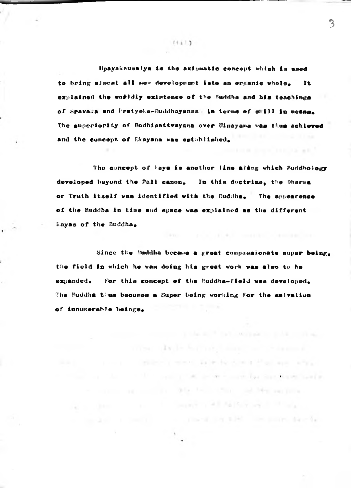Upayakausalya is the axiomatic concept which is used to bring almost all new development into an organic whole. **Tt** explained the worldly existence of the Buddha and his teachings of Spavaka and Pratyeka-Buddhayanaa' in terms of skill in means. The superiority of Bodhisattvayana over Hinayana was thus achieved and the concept of Ekayana was established.

The concept of Rays is another line along which Suddhology developed beyond the Pali canon. In this doctrine, the Dharma or Truth itself was identified with the Buddha. The appearence of the Buddha in time and space was explained as the different **Rayas of the Buddha.** 

In the Controller with

and a strike of contribution and and

the common contribution of the first contribution of the con-

Time, Arthur School and Carl Schools

the contract of the contract of the second state of the contract of the contract of

the control of the company of the second control of the control of the control of the

column and service and the first state and blue and then

med of the family in the company's service for the service family.

and the company's and the Bank and the trans-

Since the Nuddha became a great compassionate super buing. the field in which he was doing his great work was also to be For this concept of the Buddha-field was developed. expanded. The Buddha thus becomes a Super being working for the salvation of innumerable beings.

 $(11)$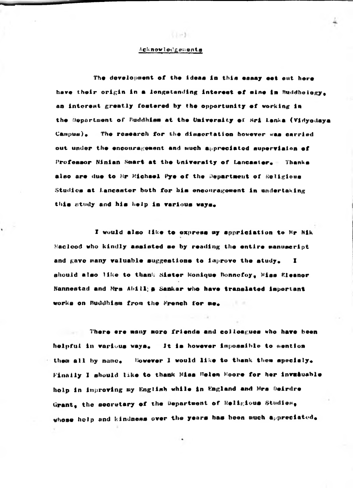#### Acknowledgements

 $1.1 - 3.1$ 

The development of the ideas in this essay eet out here have their origin in a longstanding interest of sine in Buddhelogy. an interest greatly fostered by the opportunity of working in the Oepartment of Buddhism at the University of Sri Lanka (Vidyodaya The research for the dissortation bovever was carried  $Camou$ a). out under the encouragement and much appreciated supervision of Professor Ninian Smart at the University of Lancaster. Thanks also are due to Mr Michael Pye of the Department of Religious Studies at Lancaster both for his encouragement in undertaking this study and his help in various ways.

I would also like to express my sppriciation to Mr Nik Macleod who kindly assisted se by reading the entire manuscript and gave many valuable suggestions to improve the study.  $\mathbf{r}$ should also like to thank Sister Nonique Ronnofoy, Miss Eleanor Nannestad and Mrs Abill, a Sankar who have translated important works on Buddhism from the French for me.

There ere many more friends and collosgues who have been helpful in various ways. It is however impossible to mention them all by name. Nowever I would like to thank them specialy. Finally I should like to thank Miss Helen Moore for her invasuable holp in improving my English while in England and Mrs Deirdre Grant, the secretary of the Department of Religious Studies, whose holp and kindness over the years has been much appreciated.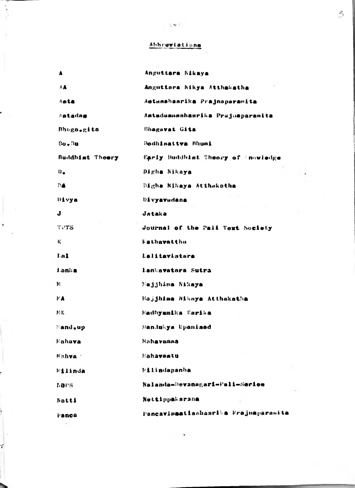**AMirer! at <sup>J</sup> on>**

*ft*

|   | ٨               | Anguttara Nikaya                     |
|---|-----------------|--------------------------------------|
|   | AA              | Anguttara Nikya Atthakatha           |
|   | Asta            | Astusabasrika Prajnaparamita         |
|   | Astadas         | Astadasusahasrika Prujuaparamita     |
|   | Bhoga.gita      | Bhagavat Gita                        |
|   | $Bo - Bu$       | <b>Bodhisattva Bhumi</b>             |
|   | Buddhist Theory | Early Buddhist Theory of Inowledge   |
|   | $D_{\bullet}$   | Digha Nikaya                         |
|   | <b>DA</b>       | Bigha Nikaya Atthakatha              |
|   | Divya           | <b><i><u>Divyavadana</u></i></b>     |
|   | J               | Jataka                               |
| ۰ | TUTS            | Journal of the Pali Text Society     |
|   | К.              | Fathavatthu                          |
|   | Lal             | Lalitavistara                        |
|   | Lonka           | lankavatara Sutra                    |
|   | M.              | Najjhima Nikaya                      |
|   | $P$ <b>A</b>    | Majjhima Nikaya Atthakatha           |
|   | BK.             | Madhyamika Karika                    |
|   | Mand.up         | Mandukya Upanisad                    |
|   | Mahava          | Mahavamaa                            |
|   | Mahva :         | Hahavastu                            |
|   | <b>Milinda</b>  | Milindapanba                         |
|   | <b>NOPS</b>     | Nalanda-Devanagari-Pali-Series       |
|   | Natti           | Nettippakarana                       |
|   | <b>Panca</b>    | Pancavimaatisahasrika Prajuaparamita |
|   |                 |                                      |

**V**

*\*>*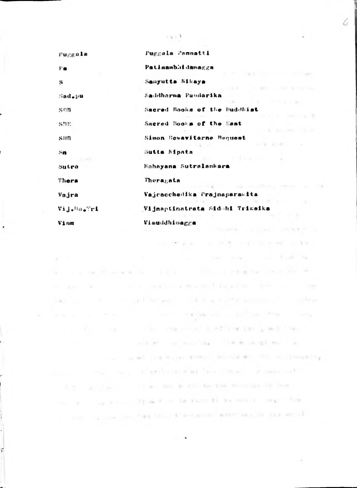| Puggala                | Puggala Pannatti                |  |
|------------------------|---------------------------------|--|
| Pа                     | Patinambhidanagga               |  |
| s                      | Samyutta Nikaya                 |  |
| $S$ ad $_{\bullet}$ pu | Saddhorma Pundarika             |  |
| SEB                    | Sacred Rooks of the Buddhist    |  |
| <b>SHE</b>             | Sacred Books of the East        |  |
| <b>SHB</b>             | Simon Newavitarne Bequest       |  |
| $\mathbb{Z}$ n         | Sutta Mipata                    |  |
| Sutro                  | Kohayana Sutralankara           |  |
| Thera                  | Theragata                       |  |
| Vajra                  | Vajracchedika Prajnaparawita    |  |
| Vij.Ma.Tri             | Vijnaptimatrata Sidehi Trimaika |  |
| Vism                   | Visuddhioagga                   |  |

and the model schedule of the first the Common interactive interaction of

the applicable to the first proplement when it includes the control of the property

part of the countries of the second consideration of the second consideration of the second consideration of the second consideration of the second consideration of the second consideration of the second consideration of t

 $\label{eq:1.1} \alpha(\mathbf{x},\mathbf{u}) = \mathbf{1} + \mathbf{1} \mathbf{x} + \mathbf{1} \mathbf{u} + \mathbf{1} \mathbf{u} + \mathbf{1} \mathbf{u} + \mathbf{1} \mathbf{u} + \mathbf{1} \mathbf{u} + \mathbf{1} \mathbf{u} + \mathbf{1} \mathbf{u} + \mathbf{1} \mathbf{u} + \mathbf{1} \mathbf{u} + \mathbf{1} \mathbf{u} + \mathbf{1} \mathbf{u} + \mathbf{1} \mathbf{u} + \mathbf{1} \mathbf{u} + \mathbf{1} \mathbf$ 

The property of the community with the party and the co-

the company of articles at what there is a more part-

2. 2. Analysis contract we will be the worker will be less.

the contract of the contract of the second compatible of the contract of the

the company of the company of the state of the state of the state and the part of the

the contract that has been accepted that the contraction of the

 $\overline{\phantom{a}}$ 

an abraham month with the end of the

the contract of the contract of the contract of

species and analysis. The expendition is a p

 $\left\{ \left\vert \psi _{i}\right\rangle \right\}$ 

6

na ak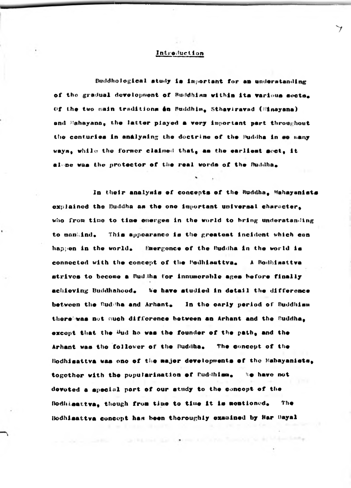#### Introduction

Buddhological study is important for an understanding of the gradual development of Buddhism within its various socts. Of the two main traditions on Buddhim, Sthaviravad (Minayana) and Mahayana, the latter played a very important part throughout the conturies in analysing the doctrine of the Buddha in so many ways, while the former claimed that, as the earliest sect, it al-pe was the protector of the real words of the Buddhas

In their analysis of concepts of the Buddha, Mahayanists explained the Buddha as the one important universal character. who from time to time emerges in the world to bring understanding to manuind. This appearance is the greatest incident which con happen in the world. Smergence of the Buddha in the world is connected with the concept of the Hodhisattva. A Bodhimattva strivos to become a Buddha for innumerable ages before finally We have studied in detail the difference achieving Buddhahood. between the Buddha and Arhant, In the early period of Buddhism there was not much difference between an Arhant and the Buddha, except that the Bud ha was the founder of the path, and the Arhant was the follower of the Buddha, The concept of the Hodhigattva was one of the major developments of the Mahayanists, togother with the popularisation of Buddhism. to have not devoted a apecial part of our study to the concept of the Bodhisattva, though from time to time it is montioned. The Bodhisattva concept has been thoroughly examined by Har Dayal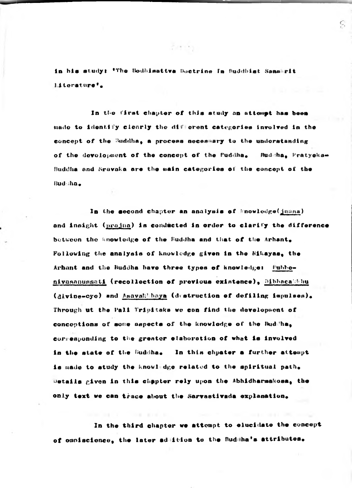in his study: 'The Bodhisattva Boetrine In Buddhist Sans rit Literature'.

In the first chapter of this study an attempt has been mado to identify clearly the different categories involved in the concept of the Buddha, a process necessary to the understanding of the devolopment of the concept of the Euddha, Budsha, Pratyeka-Buddha and Sravaka are the main categories of the concept of the Budsha.

In the second chapter an analysis of Mnowledge(jaana) and insight (prajua) is conducted in order to clarify the difference between the anowledge of the Buddha and that of the Arhant. Following the analysis of knowledge given in the Nikayas, the Arhant and the Buddha bave three types of knowledge: Pubbenivasanussati (recollection of provious existence), Dibbacatbhu (divine-cyc) and Asavakkhaya (destruction of defiling impulses). Through ut the Pali Tripitaks we con find the developsent of conceptions of some napects of the knowledge of the Buddha, corresponding to the greater elaboration of what is involved in the state of the Buddha. In this chpater a further attempt is made to study the knowledge related to the spiritual path. Details given in this chapter rely upon the Abhidharmakosa, the only text we can trace about the Sarvastivada explanation.

In the third chapter we attempt to elucidate the concept of caniscience, the later ad ition to the Buddha's attributes.

Firmly.

C,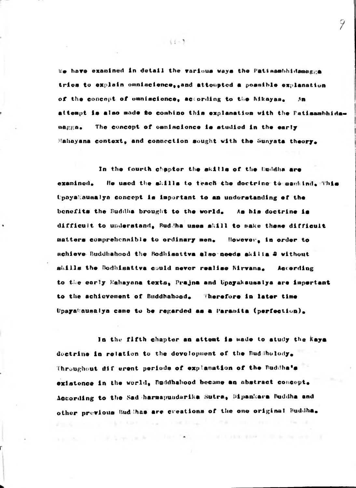We have examined in detail the various ways the Patisambhidamegga trica to explain omniscience, and attompted a possible explanation of the concept of emmiscience, according to the Mikayan,  $AB$ attempt is also mode to combine this explanation with the Patisambhida-The concept of emniscience is studied in the early **WAEEA.** Mahayana context, and connection sought with the Sunyata theory.

In the fourth chapter the skills of the Duddha are He used the skills to teach the doctrine to sankind, This examinod. UpayaMausalya concept is important to an understanding of the benefits the Buddha brought to the world. As his doctrine is difficult to understand, Buddha uses skill to make these difficult matters comprehensible to ordinary men. However, in order to achieve Buddhahood the Rodhisattva also needs skilla 2 without skills the Bodhisattva could never realise Nirvana, Accerding to the early Mahayana texts, Prajna and Upayakausalya are impertant to the achievement of Buddhahood. Therefore in later time Upagakausalya came to be regarded as a Paramita (perfection).

In the fifth chapter an attent is made to atudy the kaya doctrine in relation to the development of the Budsholody. Throughout different periods of explanation of the Buddha's existence in the world, Buddhahood became an abstract concept. According to the Sad harmapundarika Sutra, Dipankara Buddha and other previous Sud-thas are creations of the one original Buddha.

THE USA LE R. P. LEWIS CO., LANSING, MICH. 49-14039-1-120-2

 $(1 - 3)$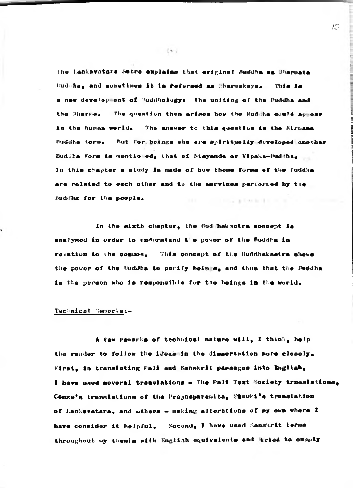The Lankavatara Sutra explains that original Buddha as Dharpata Budiha, and sometimes it is feforeed as Bharmakaya, This is a new development of Buddhology: the uniting of the Buddha and the Bharsa. The question then arisos how the Buddha could appear in the human world. The answer to this question is the Nirmana Buddha form. But for boings who are spiritually developed another Buddha form is mentioned, that of Nisyanda or Vipaka-Buddha, In this chapter a study is made of how these forms of the Buddha are related to each other and to the services performed by the Buddha for the people. and in the case of the first state of the con-

In the sixth chapter, the Bud haksotra concept is analysed in order to understand the power of the Buddha in rejation to the common. This concept of the Buddhakaetra shews the power of the Buddha to purify heings, and thus that the Buddha is the person who is responsible for the beings in the world.

#### Teclmical Semarks:-

A few remarks of technical nature will, I think, help the reader to follow the ideas in the dissertation more closely. First, in translating Fali and Sanskrit passages into Engliah, I have used several translations - The Pali Text Society trnaslations. Conze's translations of the Prajnaparamita, Stauki's translation of Lankavatara, and others - making alterations of my own where I have consider it helpful. Second, I have used Sanskrit terms throughout my thesis with English equivalents and tried to supply

 $(4)$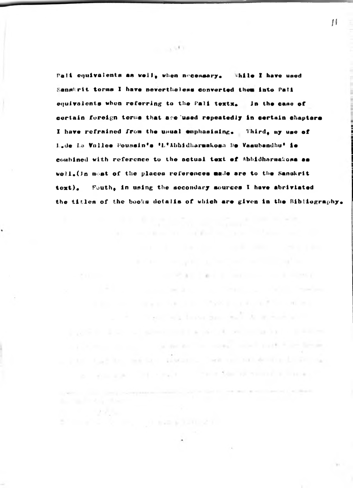Pali conivalents as well, when necessary. While I have used Sangkrit torms I have nevertheless converted them into Pali equivalents when referring to the Pali textx. In the case of cortain foreign terms that are used repeatedly in certain chapters I have refrained from the usual emphasising. Third, my use of L.de La Vollee Poussin's 'L'Abhidharmakosa De Vasubandhu' ie combined with reference to the actual text of Abbidharmakona as well. (In meat of the places references made are to the Sanskrit toxt), Fouth, in using the secondary sources I have abriviated the titles of the books dotalis of which are given in the Bibliography.

the state of the product of the state of the state of

the method of the context context funds from farming

in the contract of a state of the state of the contract of the contract

pure a los classicado resultan a a la construcción

. Paul Carlin, market and announce being on the book of the book

 $\mathcal{F}(\mathcal{F}_n)$  .

a constitution of the planned of

as a selection of the County of the contract of the manufacturization of

the common the form many way to an expectation

 $1.991$ 

Ħ